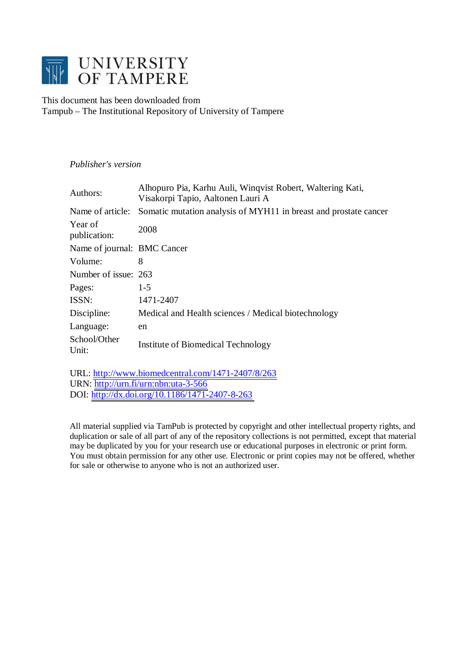

This document has been downloaded from Tampub – The Institutional Repository of University of Tampere

## *Publisher's version*

| Authors:                    | Alhopuro Pia, Karhu Auli, Winqvist Robert, Waltering Kati,<br>Visakorpi Tapio, Aaltonen Lauri A |
|-----------------------------|-------------------------------------------------------------------------------------------------|
| Name of article:            | Somatic mutation analysis of MYH11 in breast and prostate cancer                                |
| Year of<br>publication:     | 2008                                                                                            |
| Name of journal: BMC Cancer |                                                                                                 |
| Volume:                     | 8                                                                                               |
| Number of issue: 263        |                                                                                                 |
| Pages:                      | $1 - 5$                                                                                         |
| ISSN:                       | 1471-2407                                                                                       |
| Discipline:                 | Medical and Health sciences / Medical biotechnology                                             |
| Language:                   | en                                                                                              |
| School/Other<br>Unit:       | Institute of Biomedical Technology                                                              |

URL: <http://www.biomedcentral.com/1471-2407/8/263> URN: <http://urn.fi/urn:nbn:uta-3-566> DOI: <http://dx.doi.org/10.1186/1471-2407-8-263>

All material supplied via TamPub is protected by copyright and other intellectual property rights, and duplication or sale of all part of any of the repository collections is not permitted, except that material may be duplicated by you for your research use or educational purposes in electronic or print form. You must obtain permission for any other use. Electronic or print copies may not be offered, whether for sale or otherwise to anyone who is not an authorized user.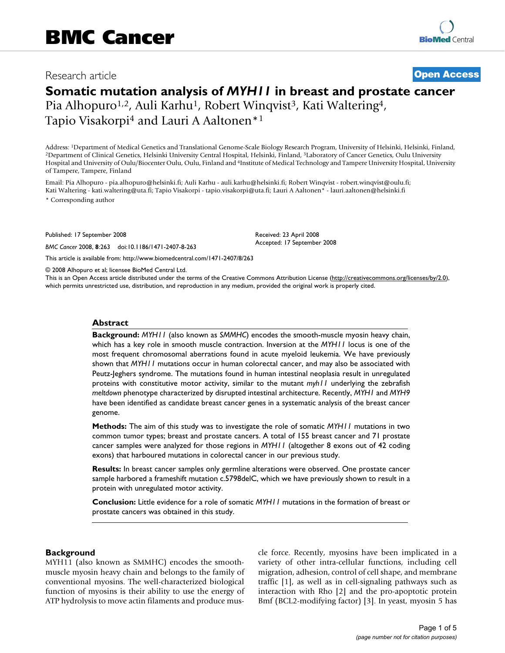# Research article **[Open Access](http://www.biomedcentral.com/info/about/charter/)**

# **Somatic mutation analysis of** *MYH11* **in breast and prostate cancer** Pia Alhopuro<sup>1,2</sup>, Auli Karhu<sup>1</sup>, Robert Winqvist<sup>3</sup>, Kati Waltering<sup>4</sup>,

Tapio Visakorpi4 and Lauri A Aaltonen\*1

Address: <sup>1</sup>Department of Medical Genetics and Translational Genome-Scale Biology Research Program, University of Helsinki, Helsinki, Finland, <sup>2</sup>Department of Clinical Genetics, Helsinki University Central Hospital, Helsi Hospital and University of Oulu/Biocenter Oulu, Oulu, Finland and 4Institute of Medical Technology and Tampere University Hospital, University of Tampere, Tampere, Finland

Email: Pia Alhopuro - pia.alhopuro@helsinki.fi; Auli Karhu - auli.karhu@helsinki.fi; Robert Winqvist - robert.winqvist@oulu.fi; Kati Waltering - kati.waltering@uta.fi; Tapio Visakorpi - tapio.visakorpi@uta.fi; Lauri A Aaltonen\* - lauri.aaltonen@helsinki.fi

\* Corresponding author

Published: 17 September 2008

*BMC Cancer* 2008, **8**:263 doi:10.1186/1471-2407-8-263

Received: 23 April 2008 Accepted: 17 September 2008

[This article is available from: http://www.biomedcentral.com/1471-2407/8/263](http://www.biomedcentral.com/1471-2407/8/263)

© 2008 Alhopuro et al; licensee BioMed Central Ltd.

This is an Open Access article distributed under the terms of the Creative Commons Attribution License [\(http://creativecommons.org/licenses/by/2.0\)](http://creativecommons.org/licenses/by/2.0), which permits unrestricted use, distribution, and reproduction in any medium, provided the original work is properly cited.

#### **Abstract**

**Background:** *MYH11* (also known as *SMMHC*) encodes the smooth-muscle myosin heavy chain, which has a key role in smooth muscle contraction. Inversion at the *MYH11* locus is one of the most frequent chromosomal aberrations found in acute myeloid leukemia. We have previously shown that *MYH11* mutations occur in human colorectal cancer, and may also be associated with Peutz-Jeghers syndrome. The mutations found in human intestinal neoplasia result in unregulated proteins with constitutive motor activity, similar to the mutant *myh11* underlying the zebrafish *meltdown* phenotype characterized by disrupted intestinal architecture. Recently, *MYH1* and *MYH9* have been identified as candidate breast cancer genes in a systematic analysis of the breast cancer genome.

**Methods:** The aim of this study was to investigate the role of somatic *MYH11* mutations in two common tumor types; breast and prostate cancers. A total of 155 breast cancer and 71 prostate cancer samples were analyzed for those regions in *MYH11* (altogether 8 exons out of 42 coding exons) that harboured mutations in colorectal cancer in our previous study.

**Results:** In breast cancer samples only germline alterations were observed. One prostate cancer sample harbored a frameshift mutation c.5798delC, which we have previously shown to result in a protein with unregulated motor activity.

**Conclusion:** Little evidence for a role of somatic *MYH11 mutations* in the formation of breast or prostate cancers was obtained in this study.

#### **Background**

MYH11 (also known as SMMHC) encodes the smoothmuscle myosin heavy chain and belongs to the family of conventional myosins. The well-characterized biological function of myosins is their ability to use the energy of ATP hydrolysis to move actin filaments and produce muscle force. Recently, myosins have been implicated in a variety of other intra-cellular functions, including cell migration, adhesion, control of cell shape, and membrane traffic [1], as well as in cell-signaling pathways such as interaction with Rho [2] and the pro-apoptotic protein Bmf (BCL2-modifying factor) [3]. In yeast, myosin 5 has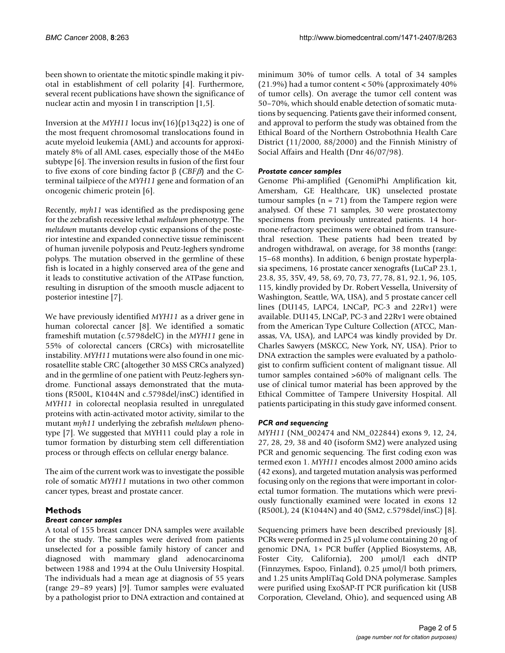been shown to orientate the mitotic spindle making it pivotal in establishment of cell polarity [4]. Furthermore, several recent publications have shown the significance of nuclear actin and myosin I in transcription [1,5].

Inversion at the *MYH11* locus inv(16)(p13q22) is one of the most frequent chromosomal translocations found in acute myeloid leukemia (AML) and accounts for approximately 8% of all AML cases, especially those of the M4Eo subtype [6]. The inversion results in fusion of the first four to five exons of core binding factor β (*CBF*β) and the Cterminal tailpiece of the *MYH11* gene and formation of an oncogenic chimeric protein [6].

Recently, *myh11* was identified as the predisposing gene for the zebrafish recessive lethal *meltdown* phenotype. The *meltdown* mutants develop cystic expansions of the posterior intestine and expanded connective tissue reminiscent of human juvenile polyposis and Peutz-Jeghers syndrome polyps. The mutation observed in the germline of these fish is located in a highly conserved area of the gene and it leads to constitutive activation of the ATPase function, resulting in disruption of the smooth muscle adjacent to posterior intestine [7].

We have previously identified *MYH11* as a driver gene in human colorectal cancer [8]. We identified a somatic frameshift mutation (c.5798delC) in the *MYH11* gene in 55% of colorectal cancers (CRCs) with microsatellite instability. *MYH11* mutations were also found in one microsatellite stable CRC (altogether 30 MSS CRCs analyzed) and in the germline of one patient with Peutz-Jeghers syndrome. Functional assays demonstrated that the mutations (R500L, K1044N and c.5798del/insC) identified in *MYH11* in colorectal neoplasia resulted in unregulated proteins with actin-activated motor activity, similar to the mutant *myh11* underlying the zebrafish *meltdown* phenotype [7]. We suggested that MYH11 could play a role in tumor formation by disturbing stem cell differentiation process or through effects on cellular energy balance.

The aim of the current work was to investigate the possible role of somatic *MYH11* mutations in two other common cancer types, breast and prostate cancer.

### **Methods**

#### *Breast cancer samples*

A total of 155 breast cancer DNA samples were available for the study. The samples were derived from patients unselected for a possible family history of cancer and diagnosed with mammary gland adenocarcinoma between 1988 and 1994 at the Oulu University Hospital. The individuals had a mean age at diagnosis of 55 years (range 29–89 years) [9]. Tumor samples were evaluated by a pathologist prior to DNA extraction and contained at minimum 30% of tumor cells. A total of 34 samples (21.9%) had a tumor content < 50% (approximately 40% of tumor cells). On average the tumor cell content was 50–70%, which should enable detection of somatic mutations by sequencing. Patients gave their informed consent, and approval to perform the study was obtained from the Ethical Board of the Northern Ostrobothnia Health Care District (11/2000, 88/2000) and the Finnish Ministry of Social Affairs and Health (Dnr 46/07/98).

#### *Prostate cancer samples*

Genome Phi-amplified (GenomiPhi Amplification kit, Amersham, GE Healthcare, UK) unselected prostate tumour samples ( $n = 71$ ) from the Tampere region were analysed. Of these 71 samples, 30 were prostatectomy specimens from previously untreated patients. 14 hormone-refractory specimens were obtained from transurethral resection. These patients had been treated by androgen withdrawal, on average, for 38 months (range: 15–68 months). In addition, 6 benign prostate hyperplasia specimens, 16 prostate cancer xenografts (LuCaP 23.1, 23.8, 35, 35V, 49, 58, 69, 70, 73, 77, 78, 81, 92.1, 96, 105, 115, kindly provided by Dr. Robert Vessella, University of Washington, Seattle, WA, USA), and 5 prostate cancer cell lines (DU145, LAPC4, LNCaP, PC-3 and 22Rv1) were available. DU145, LNCaP, PC-3 and 22Rv1 were obtained from the American Type Culture Collection (ATCC, Manassas, VA, USA), and LAPC4 was kindly provided by Dr. Charles Sawyers (MSKCC, New York, NY, USA). Prior to DNA extraction the samples were evaluated by a pathologist to confirm sufficient content of malignant tissue. All tumor samples contained >60% of malignant cells. The use of clinical tumor material has been approved by the Ethical Committee of Tampere University Hospital. All patients participating in this study gave informed consent.

#### *PCR and sequencing*

*MYH11* (NM\_002474 and NM\_022844) exons 9, 12, 24, 27, 28, 29, 38 and 40 (isoform SM2) were analyzed using PCR and genomic sequencing. The first coding exon was termed exon 1. *MYH11* encodes almost 2000 amino acids (42 exons), and targeted mutation analysis was performed focusing only on the regions that were important in colorectal tumor formation. The mutations which were previously functionally examined were located in exons 12 (R500L), 24 (K1044N) and 40 (SM2, c.5798del/insC) [8].

Sequencing primers have been described previously [8]. PCRs were performed in 25 μl volume containing 20 ng of genomic DNA, 1× PCR buffer (Applied Biosystems, AB, Foster City, California), 200 μmol/l each dNTP (Finnzymes, Espoo, Finland), 0.25 μmol/l both primers, and 1.25 units AmpliTaq Gold DNA polymerase. Samples were purified using ExoSAP-IT PCR purification kit (USB Corporation, Cleveland, Ohio), and sequenced using AB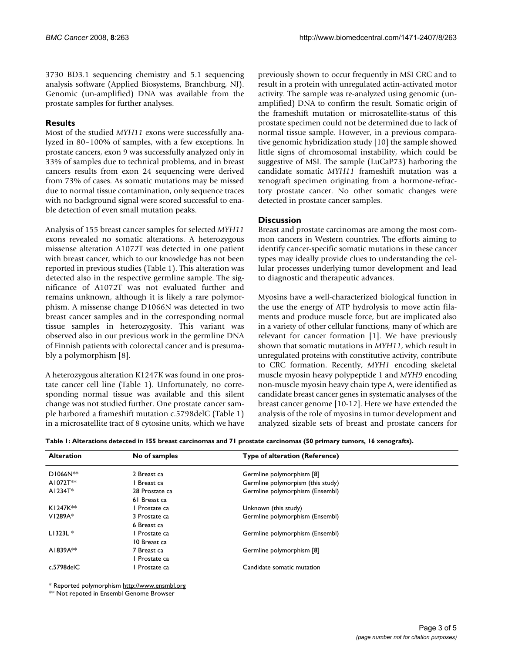3730 BD3.1 sequencing chemistry and 5.1 sequencing analysis software (Applied Biosystems, Branchburg, NJ). Genomic (un-amplified) DNA was available from the prostate samples for further analyses.

#### **Results**

Most of the studied *MYH11* exons were successfully analyzed in 80–100% of samples, with a few exceptions. In prostate cancers, exon 9 was successfully analyzed only in 33% of samples due to technical problems, and in breast cancers results from exon 24 sequencing were derived from 73% of cases. As somatic mutations may be missed due to normal tissue contamination, only sequence traces with no background signal were scored successful to enable detection of even small mutation peaks.

Analysis of 155 breast cancer samples for selected *MYH11* exons revealed no somatic alterations. A heterozygous missense alteration A1072T was detected in one patient with breast cancer, which to our knowledge has not been reported in previous studies (Table 1). This alteration was detected also in the respective germline sample. The significance of A1072T was not evaluated further and remains unknown, although it is likely a rare polymorphism. A missense change D1066N was detected in two breast cancer samples and in the corresponding normal tissue samples in heterozygosity. This variant was observed also in our previous work in the germline DNA of Finnish patients with colorectal cancer and is presumably a polymorphism [8].

A heterozygous alteration K1247K was found in one prostate cancer cell line (Table 1). Unfortunately, no corresponding normal tissue was available and this silent change was not studied further. One prostate cancer sample harbored a frameshift mutation c.5798delC (Table 1) in a microsatellite tract of 8 cytosine units, which we have previously shown to occur frequently in MSI CRC and to result in a protein with unregulated actin-activated motor activity. The sample was re-analyzed using genomic (unamplified) DNA to confirm the result. Somatic origin of the frameshift mutation or microsatellite-status of this prostate specimen could not be determined due to lack of normal tissue sample. However, in a previous comparative genomic hybridization study [10] the sample showed little signs of chromosomal instability, which could be suggestive of MSI. The sample (LuCaP73) harboring the candidate somatic *MYH11* frameshift mutation was a xenograft specimen originating from a hormone-refractory prostate cancer. No other somatic changes were detected in prostate cancer samples.

### **Discussion**

Breast and prostate carcinomas are among the most common cancers in Western countries. The efforts aiming to identify cancer-specific somatic mutations in these cancer types may ideally provide clues to understanding the cellular processes underlying tumor development and lead to diagnostic and therapeutic advances.

Myosins have a well-characterized biological function in the use the energy of ATP hydrolysis to move actin filaments and produce muscle force, but are implicated also in a variety of other cellular functions, many of which are relevant for cancer formation [1]. We have previously shown that somatic mutations in *MYH11*, which result in unregulated proteins with constitutive activity, contribute to CRC formation. Recently, *MYH1* encoding skeletal muscle myosin heavy polypeptide 1 and *MYH9* encoding non-muscle myosin heavy chain type A, were identified as candidate breast cancer genes in systematic analyses of the breast cancer genome [10-12]. Here we have extended the analysis of the role of myosins in tumor development and analyzed sizable sets of breast and prostate cancers for

|  |  | Table I: Alterations detected in 155 breast carcinomas and 71 prostate carcinomas (50 primary tumors, 16 xenografts). |  |  |  |
|--|--|-----------------------------------------------------------------------------------------------------------------------|--|--|--|
|  |  |                                                                                                                       |  |  |  |

| <b>Alteration</b> | No of samples  | Type of alteration (Reference)    |  |
|-------------------|----------------|-----------------------------------|--|
| D1066N**          | 2 Breast ca    | Germline polymorphism [8]         |  |
| $AI072T**$        | Breast ca      | Germline polymorpism (this study) |  |
| $AI234T*$         | 28 Prostate ca | Germline polymorphism (Ensembl)   |  |
|                   | 61 Breast ca   |                                   |  |
| $K1247K**$        | Prostate ca    | Unknown (this study)              |  |
| $VI289A*$         | 3 Prostate ca  | Germline polymorphism (Ensembl)   |  |
|                   | 6 Breast ca    |                                   |  |
| $L1323L*$         | Prostate ca    | Germline polymorphism (Ensembl)   |  |
|                   | 10 Breast ca   |                                   |  |
| $A1839A**$        | 7 Breast ca    | Germline polymorphism [8]         |  |
|                   | Prostate ca    |                                   |  |
| $c.5798$ del $C$  | Prostate ca    | Candidate somatic mutation        |  |

\* Reported polymorphism <http://www.ensmbl.org>

\*\* Not repoted in Ensembl Genome Browser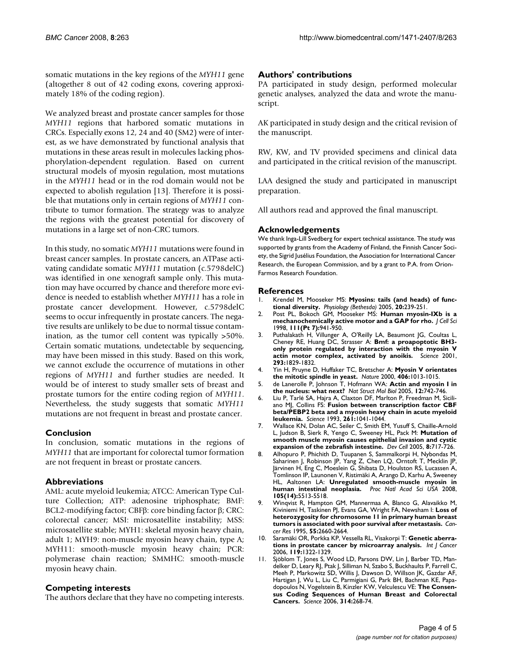somatic mutations in the key regions of the *MYH11* gene (altogether 8 out of 42 coding exons, covering approximately 18% of the coding region).

We analyzed breast and prostate cancer samples for those *MYH11* regions that harbored somatic mutations in CRCs. Especially exons 12, 24 and 40 (SM2) were of interest, as we have demonstrated by functional analysis that mutations in these areas result in molecules lacking phosphorylation-dependent regulation. Based on current structural models of myosin regulation, most mutations in the *MYH11* head or in the rod domain would not be expected to abolish regulation [13]. Therefore it is possible that mutations only in certain regions of *MYH11* contribute to tumor formation. The strategy was to analyze the regions with the greatest potential for discovery of mutations in a large set of non-CRC tumors.

In this study, no somatic *MYH11* mutations were found in breast cancer samples. In prostate cancers, an ATPase activating candidate somatic *MYH11* mutation (c.5798delC) was identified in one xenograft sample only. This mutation may have occurred by chance and therefore more evidence is needed to establish whether *MYH11* has a role in prostate cancer development. However, c.5798delC seems to occur infrequently in prostate cancers. The negative results are unlikely to be due to normal tissue contamination, as the tumor cell content was typically >50%. Certain somatic mutations, undetectable by sequencing, may have been missed in this study. Based on this work, we cannot exclude the occurrence of mutations in other regions of *MYH11* and further studies are needed. It would be of interest to study smaller sets of breast and prostate tumors for the entire coding region of *MYH11*. Nevertheless, the study suggests that somatic *MYH11* mutations are not frequent in breast and prostate cancer.

#### **Conclusion**

In conclusion, somatic mutations in the regions of *MYH11* that are important for colorectal tumor formation are not frequent in breast or prostate cancers.

#### **Abbreviations**

AML: acute myeloid leukemia; ATCC: American Type Culture Collection; ATP: adenosine triphosphate; BMF: BCL2-modifying factor; CBFβ: core binding factor β; CRC: colorectal cancer; MSI: microsatellite instability; MSS: microsatellite stable; MYH1: skeletal myosin heavy chain, adult 1; MYH9: non-muscle myosin heavy chain, type A; MYH11: smooth-muscle myosin heavy chain; PCR: polymerase chain reaction; SMMHC: smooth-muscle myosin heavy chain.

#### **Competing interests**

The authors declare that they have no competing interests.

#### **Authors' contributions**

PA participated in study design, performed molecular genetic analyses, analyzed the data and wrote the manuscript.

AK participated in study design and the critical revision of the manuscript.

RW, KW, and TV provided specimens and clinical data and participated in the critical revision of the manuscript.

LAA designed the study and participated in manuscript preparation.

All authors read and approved the final manuscript.

#### **Acknowledgements**

We thank Inga-Lill Svedberg for expert technical assistance. The study was supported by grants from the Academy of Finland, the Finnish Cancer Society, the Sigrid Jusélius Foundation, the Association for International Cancer Research, the European Commission, and by a grant to P.A. from Orion-Farmos Research Foundation.

#### **References**

- 1. Krendel M, Mooseker MS: **[Myosins: tails \(and heads\) of func](http://www.ncbi.nlm.nih.gov/entrez/query.fcgi?cmd=Retrieve&db=PubMed&dopt=Abstract&list_uids=16024512)[tional diversity.](http://www.ncbi.nlm.nih.gov/entrez/query.fcgi?cmd=Retrieve&db=PubMed&dopt=Abstract&list_uids=16024512)** *Physiology (Bethesda)* 2005, **20:**239-251.
- 2. Post PL, Bokoch GM, Mooseker MS: **[Human myosin-IXb is a](http://www.ncbi.nlm.nih.gov/entrez/query.fcgi?cmd=Retrieve&db=PubMed&dopt=Abstract&list_uids=9490638) [mechanochemically active motor and a GAP for rho.](http://www.ncbi.nlm.nih.gov/entrez/query.fcgi?cmd=Retrieve&db=PubMed&dopt=Abstract&list_uids=9490638)** *J Cell Sci* 1998, **111(Pt 7):**941-950.
- 3. Puthalakath H, Villunger A, O'Reilly LA, Beaumont JG, Coultas L, Cheney RE, Huang DC, Strasser A: **[Bmf: a proapoptotic BH3](http://www.ncbi.nlm.nih.gov/entrez/query.fcgi?cmd=Retrieve&db=PubMed&dopt=Abstract&list_uids=11546872) [only protein regulated by interaction with the myosin V](http://www.ncbi.nlm.nih.gov/entrez/query.fcgi?cmd=Retrieve&db=PubMed&dopt=Abstract&list_uids=11546872) [actin motor complex, activated by anoikis.](http://www.ncbi.nlm.nih.gov/entrez/query.fcgi?cmd=Retrieve&db=PubMed&dopt=Abstract&list_uids=11546872)** *Science* 2001, **293:**1829-1832.
- 4. Yin H, Pruyne D, Huffaker TC, Bretscher A: **[Myosin V orientates](http://www.ncbi.nlm.nih.gov/entrez/query.fcgi?cmd=Retrieve&db=PubMed&dopt=Abstract&list_uids=10984058) [the mitotic spindle in yeast.](http://www.ncbi.nlm.nih.gov/entrez/query.fcgi?cmd=Retrieve&db=PubMed&dopt=Abstract&list_uids=10984058)** *Nature* 2000, **406:**1013-1015.
- 5. de Lanerolle P, Johnson T, Hofmann WA: **[Actin and myosin I in](http://www.ncbi.nlm.nih.gov/entrez/query.fcgi?cmd=Retrieve&db=PubMed&dopt=Abstract&list_uids=16142228) [the nucleus: what next?](http://www.ncbi.nlm.nih.gov/entrez/query.fcgi?cmd=Retrieve&db=PubMed&dopt=Abstract&list_uids=16142228)** *Nat Struct Mol Biol* 2005, **12:**742-746.
- 6. Liu P, Tarlé SA, Hajra A, Claxton DF, Marlton P, Freedman M, Siciliano MJ, Collins FS: **[Fusion between transcription factor CBF](http://www.ncbi.nlm.nih.gov/entrez/query.fcgi?cmd=Retrieve&db=PubMed&dopt=Abstract&list_uids=8351518) [beta/PEBP2 beta and a myosin heavy chain in acute myeloid](http://www.ncbi.nlm.nih.gov/entrez/query.fcgi?cmd=Retrieve&db=PubMed&dopt=Abstract&list_uids=8351518) [leukemia.](http://www.ncbi.nlm.nih.gov/entrez/query.fcgi?cmd=Retrieve&db=PubMed&dopt=Abstract&list_uids=8351518)** *Science* 1993, **261:**1041-1044.
- 7. Wallace KN, Dolan AC, Seiler C, Smith EM, Yusuff S, Chaille-Arnold L, Judson B, Sierk R, Yengo C, Sweeney HL, Pack M: **[Mutation of](http://www.ncbi.nlm.nih.gov/entrez/query.fcgi?cmd=Retrieve&db=PubMed&dopt=Abstract&list_uids=15866162) [smooth muscle myosin causes epithelial invasion and cystic](http://www.ncbi.nlm.nih.gov/entrez/query.fcgi?cmd=Retrieve&db=PubMed&dopt=Abstract&list_uids=15866162) [expansion of the zebrafish intestine.](http://www.ncbi.nlm.nih.gov/entrez/query.fcgi?cmd=Retrieve&db=PubMed&dopt=Abstract&list_uids=15866162)** *Dev Cell* 2005, **8:**717-726.
- 8. Alhopuro P, Phichith D, Tuupanen S, Sammalkorpi H, Nybondas M, Saharinen J, Robinson JP, Yang Z, Chen LQ, Orntoft T, Mecklin JP, Järvinen H, Eng C, Moeslein G, Shibata D, Houlston RS, Lucassen A, Tomlinson IP, Launonen V, Ristimäki A, Arango D, Karhu A, Sweeney HL, Aaltonen LA: **[Unregulated smooth-muscle myosin in](http://www.ncbi.nlm.nih.gov/entrez/query.fcgi?cmd=Retrieve&db=PubMed&dopt=Abstract&list_uids=18391202) [human intestinal neoplasia.](http://www.ncbi.nlm.nih.gov/entrez/query.fcgi?cmd=Retrieve&db=PubMed&dopt=Abstract&list_uids=18391202)** *Proc Natl Acad Sci USA* 2008, **105(14):**5513-5518.
- 9. Winqvist R, Hampton GM, Mannermaa A, Blanco G, Alavaikko M, Kiviniemi H, Taskinen PJ, Evans GA, Wright FA, Newsham I: **[Loss of](http://www.ncbi.nlm.nih.gov/entrez/query.fcgi?cmd=Retrieve&db=PubMed&dopt=Abstract&list_uids=7780982) [heterozygosity for chromosome 11 in primary human breast](http://www.ncbi.nlm.nih.gov/entrez/query.fcgi?cmd=Retrieve&db=PubMed&dopt=Abstract&list_uids=7780982) [tumors is associated with poor survival after metastasis.](http://www.ncbi.nlm.nih.gov/entrez/query.fcgi?cmd=Retrieve&db=PubMed&dopt=Abstract&list_uids=7780982)** *Cancer Res* 1995, **55:**2660-2664.
- 10. Saramäki OR, Porkka KP, Vessella RL, Visakorpi T: **[Genetic aberra](http://www.ncbi.nlm.nih.gov/entrez/query.fcgi?cmd=Retrieve&db=PubMed&dopt=Abstract&list_uids=16642477)[tions in prostate cancer by microarray analysis.](http://www.ncbi.nlm.nih.gov/entrez/query.fcgi?cmd=Retrieve&db=PubMed&dopt=Abstract&list_uids=16642477)** *Int J Cancer* 2006, **119:**1322-1329.
- 11. Sjöblom T, Jones S, Wood LD, Parsons DW, Lin J, Barber TD, Mandelker D, Leary RJ, Ptak J, Silliman N, Szabo S, Buckhaults P, Farrell C, Meeh P, Markowitz SD, Willis J, Dawson D, Willson JK, Gazdar AF, Hartigan J, Wu L, Liu C, Parmigiani G, Park BH, Bachman KE, Papadopoulos N, Vogelstein B, Kinzler KW, Velculescu VE: **[The Consen](http://www.ncbi.nlm.nih.gov/entrez/query.fcgi?cmd=Retrieve&db=PubMed&dopt=Abstract&list_uids=16959974)[sus Coding Sequences of Human Breast and Colorectal](http://www.ncbi.nlm.nih.gov/entrez/query.fcgi?cmd=Retrieve&db=PubMed&dopt=Abstract&list_uids=16959974) [Cancers.](http://www.ncbi.nlm.nih.gov/entrez/query.fcgi?cmd=Retrieve&db=PubMed&dopt=Abstract&list_uids=16959974)** *Science* 2006, **314:**268-74.